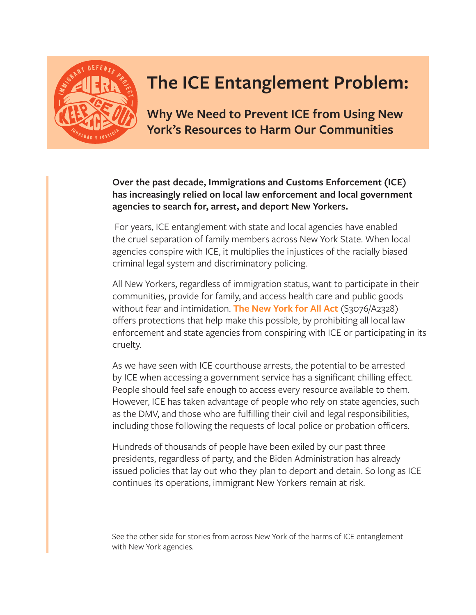

## **The ICE Entanglement Problem:**

**Why We Need to Prevent ICE from Using New York's Resources to Harm Our Communities**

**Over the past decade, Immigrations and Customs Enforcement (ICE) has increasingly relied on local law enforcement and local government agencies to search for, arrest, and deport New Yorkers.**

 For years, ICE entanglement with state and local agencies have enabled the cruel separation of family members across New York State. When local agencies conspire with ICE, it multiplies the injustices of the racially biased criminal legal system and discriminatory policing.

All New Yorkers, regardless of immigration status, want to participate in their communities, provide for family, and access health care and public goods without fear and intimidation. **[The New York for All Act](https://www.nysenate.gov/legislation/bills/2021/s3076)** (S3076/A2328) offers protections that help make this possible, by prohibiting all local law enforcement and state agencies from conspiring with ICE or participating in its cruelty.

As we have seen with ICE courthouse arrests, the potential to be arrested by ICE when accessing a government service has a significant chilling effect. People should feel safe enough to access every resource available to them. However, ICE has taken advantage of people who rely on state agencies, such as the DMV, and those who are fulfilling their civil and legal responsibilities, including those following the requests of local police or probation officers.

Hundreds of thousands of people have been exiled by our past three presidents, regardless of party, and the Biden Administration has already issued policies that lay out who they plan to deport and detain. So long as ICE continues its operations, immigrant New Yorkers remain at risk.

See the other side for stories from across New York of the harms of ICE entanglement with New York agencies.